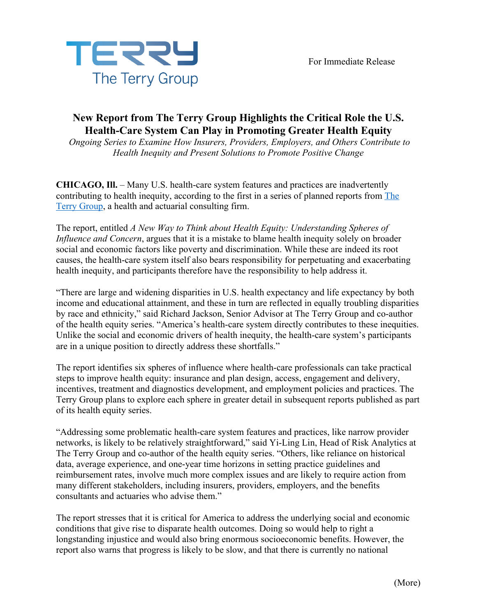

## **New Report from The Terry Group Highlights the Critical Role the U.S. Health-Care System Can Play in Promoting Greater Health Equity**

*Ongoing Series to Examine How Insurers, Providers, Employers, and Others Contribute to Health Inequity and Present Solutions to Promote Positive Change*

**CHICAGO, Ill.** – Many U.S. health-care system features and practices are inadvertently contributing to health inequity, according to the first in a series of planned reports from The Terry Group, a health and actuarial consulting firm.

The report, entitled *A New Way to Think about Health Equity: Understanding Spheres of Influence and Concern*, argues that it is a mistake to blame health inequity solely on broader social and economic factors like poverty and discrimination. While these are indeed its root causes, the health-care system itself also bears responsibility for perpetuating and exacerbating health inequity, and participants therefore have the responsibility to help address it.

"There are large and widening disparities in U.S. health expectancy and life expectancy by both income and educational attainment, and these in turn are reflected in equally troubling disparities by race and ethnicity," said Richard Jackson, Senior Advisor at The Terry Group and co-author of the health equity series. "America's health-care system directly contributes to these inequities. Unlike the social and economic drivers of health inequity, the health-care system's participants are in a unique position to directly address these shortfalls."

The report identifies six spheres of influence where health-care professionals can take practical steps to improve health equity: insurance and plan design, access, engagement and delivery, incentives, treatment and diagnostics development, and employment policies and practices. The Terry Group plans to explore each sphere in greater detail in subsequent reports published as part of its health equity series.

"Addressing some problematic health-care system features and practices, like narrow provider networks, is likely to be relatively straightforward," said Yi-Ling Lin, Head of Risk Analytics at The Terry Group and co-author of the health equity series. "Others, like reliance on historical data, average experience, and one-year time horizons in setting practice guidelines and reimbursement rates, involve much more complex issues and are likely to require action from many different stakeholders, including insurers, providers, employers, and the benefits consultants and actuaries who advise them."

The report stresses that it is critical for America to address the underlying social and economic conditions that give rise to disparate health outcomes. Doing so would help to right a longstanding injustice and would also bring enormous socioeconomic benefits. However, the report also warns that progress is likely to be slow, and that there is currently no national